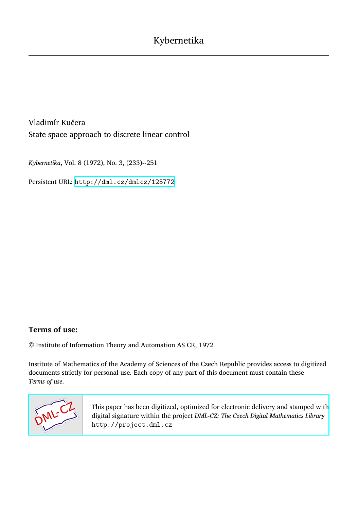Vladimír Kučera State space approach to discrete linear control

*Kybernetika*, Vol. 8 (1972), No. 3, (233)--251

Persistent URL: <http://dml.cz/dmlcz/125772>

## **Terms of use:**

© Institute of Information Theory and Automation AS CR, 1972

Institute of Mathematics of the Academy of Sciences of the Czech Republic provides access to digitized documents strictly for personal use. Each copy of any part of this document must contain these *Terms of use*.



[This paper has been digitized, optimized for electronic delivery and stamped with](http://project.dml.cz) digital signature within the project *DML-CZ: The Czech Digital Mathematics Library* http://project.dml.cz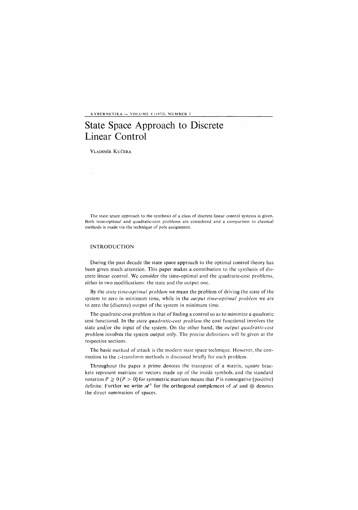KYBERNETIKA — VOLUME *8* (1972), NUMBER 3

# State Space Approach to Discrete Linear Control

VLADIMÍR KUČERA

 $\hat{\mathcal{A}}$ 

The state space approach to the synthesis of a class of discrete linear control systems is given. Both time-optimal and quadratic-cost problems are considered and a comparison to classical methods is made via the technique of pole assignment.

### INTRODUCTION

During the past decade the state space approach to the optimal control theory has been given much attention. This paper makes a contribution to the synthesis of discrete linear control. We consider the time-optimal and the quadratic-cost problems, either in two modifications: the state and the output one.

By the *state time-optimal problem* we mean the problem of driving the state of the system to zero in minimum time, while in the *output time-optimal problem* we are to zero the (discrete) output of the system in minimum time.

The quadratic-cost problem is that of finding a control so as to minimize a quadratic cost functional. In the *state quadratic-cost problem* the cost functional involves the state and/or the input of the system. On the other hand, the *output quadratic-cost problem* involves the system output only. The precise definitions will be given at the respective sections.

The basic method of attack is the modern state space technique. However, the connection to the z-transform methods is discussed briefly for each problem.

Throughout the paper a prime denotes the transpose of a matrix, square brackets represent matrices or vectors made up of the inside symbols, and the standard notation  $P \ge 0$  ( $P > 0$ ) for symmetric matrices means that P is nonnegative (positive) definite. Further we write  $\mathscr{A}^{\perp}$  for the orthogonal complement of  $\mathscr{A}$  and  $\oplus$  denotes the direct summation of spaces.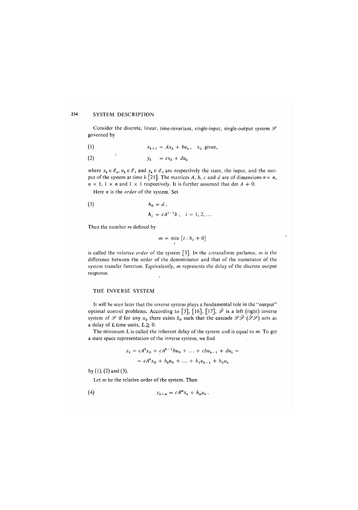#### 234 SYSTEM DESCRIPTION

Consider the discrete, linear, time-invariant, single-input, single-output system  $\mathscr S$ governed by

(1)  $x_{k+1} = Ax_k + bu_k$ ,  $x_0$  given,

$$
(2) \t\t y_k = cx_k + du_k
$$

where  $x_k \in \mathscr{E}_n$ ,  $u_k \in \mathscr{E}_1$  and  $y_k \in \mathscr{E}_1$  are respectively the state, the input, and the output of the system at time  $k$  [21]. The matrices A, b, c and d are of dimensions  $n \times n$ ,  $n \times 1, 1 \times n$  and  $1 \times 1$  respectively. It is further assumed that det  $A \neq 0$ .

Here *n* is the *order* of the system. Set

$$
h_0 = d,
$$

$$
h_i = cA^{i-1}b \; , \quad i = 1, 2, \ldots
$$

Then the number *m* defined by

$$
m = \min\left\{i : h_i + 0\right\}
$$

**i** 

is called the *relative order* of the system [3]. In the z-transform parlance, *m* is the difference between the order of the denominator and that of the numerator of the system transfer function. Equivalently, *m* represents the delay of the discrete output response.

#### THE INVERSE SYSTEM

It will be seen later that the inverse system plays a fundamental role in the "output" optimal control problems. According to [3], [16], [17],  $\hat{\mathcal{S}}$  is a left (right) inverse system of  $\mathscr S$  if for any  $x_0$  there exists  $\hat x_0$  such that the cascade  $\mathscr S\hat{\mathscr S}(\hat{\mathscr S}\mathscr S)$  acts as a delay of L time units,  $L \geq 0$ .

The minimum Lis called the inherent delay of the system and is equal to *m.* To get a state space representation of the inverse system, we find

> $y_k = cA^kx_0 + cA^{k-1}bu_0 + \ldots + cbu_{k-1} + du_k =$  $= cA^{k}x_{0} + h_{k}u_{0} + \ldots + h_{1}u_{k-1} + h_{0}u_{k}$

by (1), *(*2) and (3).

Let *m* be the relative order of the system. Then

(4)  $y_{k+m} = cA^m x_k + h_m u_k$ .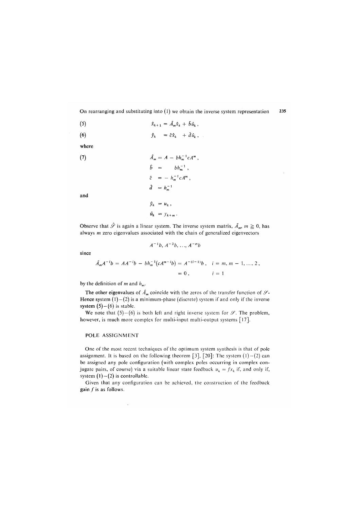On rearranging and substituting into  $(1)$  we obtain the inverse system representation 235

$$
\hat{x}_{k+1} = \hat{A}_m \hat{x}_k + \hat{b} \hat{u}_k,
$$

$$
\hat{y}_k = \hat{c}\hat{x}_k + \hat{d}\hat{u}_k,
$$

where

(7) 
$$
\hat{A}_m = A - bh_m^{-1} c A^m,
$$

$$
\hat{b} = bh_m^{-1},
$$

$$
\hat{c} = - h_m^{-1} c A^m,
$$

$$
\hat{d} = h_m^{-1}
$$

and

$$
\hat{u}_k = y_{k+m}.
$$

 $\hat{y}_k = u_k,$ 

Observe that  $\hat{\mathscr{S}}$  is again a linear system. The inverse system matrix,  $\hat{A}_m$ ,  $m \ge 0$ , has always *m* zero eigenvalues associated with the chain of generalized eigenvectors

$$
A^{-1}b, A^{-2}b, ..., A^{-m}b
$$

since

$$
\hat{A}_m A^{-i} b = A A^{-i} b - b h_m^{-1} (c A^{m-i} b) = A^{-i(-1)} b , \quad i = m, m - 1, ..., 2,
$$
  
= 0 ,  $i = 1$ 

by the definition of *m* and  $h_m$ .

The other eigenvalues of  $\hat{A}_m$  coincide with the zeros of the transfer function of  $\mathscr{S}$ . Hence system  $(1) - (2)$  is a minimum-phase (discrete) system if and only if the inverse system  $(5)$  -(6) is stable.

We note that  $(5)$  – $(6)$  is both left and right inverse system for  $\mathcal{S}$ . The problem, however, is much more complex for multi-input multi-output systems [17].

#### POLE ASSIGNMENT

l,

One of the most recent techniques of the optimum system synthesis is that of pole assignment. It is based on the following theorem [3], [20]: The system  $(1) - (2)$  can be assigned any pole configuration (with complex poles occurring in complex conjugate pairs, of course) via a suitable linear state feedback  $u_k = fx_k$  if, and only if, system  $(1)$ - $(2)$  is controllable.

Given that any configuration can be achieved, the construction of the feedback gain  $f$  is as follows.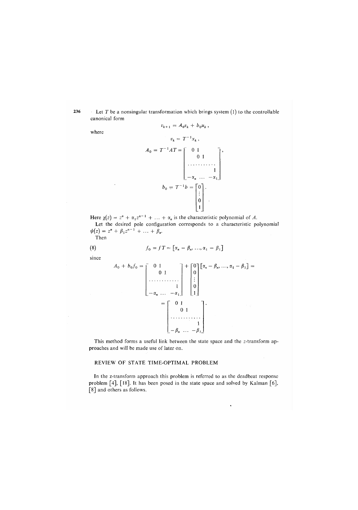236 Let *T* be a nonsingular transformation which brings system *(*l) to the controllable canonical form

where

 $\ddot{\phantom{a}}$ 

$$
a_0 = T^{-1}AT = \begin{bmatrix} 0 & 1 \\ 0 & 1 \\ 0 & \cdots \\ -\alpha_n & \cdots \\ 0 & \cdots \end{bmatrix},
$$
  

$$
b_0 = T^{-1}b = \begin{bmatrix} 0 \\ 0 \\ 1 \\ \vdots \\ 0 \\ 1 \end{bmatrix}.
$$

 $v_{k+1} = A_0 v_k + b_0 u_k$ 

Here  $\chi(z) = z^n + \alpha_1 z^{n-1} + \ldots + \alpha_n$  is the characteristic polynomial of A. Let the desired pole configuration corresponds to a characteristic polynomial  $\psi(z) = z^n + \beta_1 z^{n-1} + \ldots + \beta_n.$ 

Then

(8) 
$$
f_0 = fT = \left[\alpha_n - \beta_n, ..., \alpha_1 - \beta_1\right]
$$

since

$$
A_0 + b_0 f_0 = \begin{bmatrix} 0 & 1 \\ 0 & 1 \\ \vdots \\ -\alpha_n & \vdots \\ -\alpha_n & \cdots & -\alpha_1 \end{bmatrix} + \begin{bmatrix} 0 \\ 0 \\ \vdots \\ 0 \\ 1 \end{bmatrix} [\alpha_n - \beta_n, \dots, \alpha_1 - \beta_1] =
$$

$$
= \begin{bmatrix} 0 & 1 \\ 0 & 1 \\ \vdots \\ -\beta_n & \cdots & -\beta_1 \end{bmatrix}.
$$

This method forms a useful link between the state space and the z-transform approaches and will be made use of later on.

### REVIEW OF STATE TIME-OPTIMAL PROBLEM

In the z-transform approach this problem is referred to as the deadbeat response problem [4], [18]. It has been posed in the state space and solved by Kalman [6], [8] and others as follows.

 $\ddot{\phantom{0}}$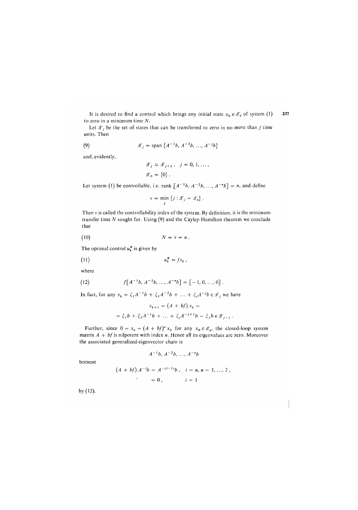It is desired to find a control which brings any initial state  $x_0 \in \mathscr{E}_n$  of system (1) 237 to zero in a minimum time *N.* 

Let  $\mathscr{X}_i$  be the set of states that can be transferred to zero in no more than *j* time units. Then

(9) 
$$
\mathscr{X}_j = \text{span} \{ A^{-1}b, A^{-2}b, ..., A^{-j}b \}
$$

and, evidently,

$$
\begin{aligned} \mathcal{X}_j \, &\subset \mathcal{X}_{j+1} \,, \ \ j=0,1,\ldots,\\ \mathcal{X}_0 \, & = \, \left\{0\right\} \, . \end{aligned}
$$

Let system (1) be controllable, i.e. rank  $[A^{-1}b, A^{-2}b, ..., A^{-n}b] = n$ , and define

$$
v = \min_j \{j : \mathcal{X}_j = \mathcal{E}_n \}.
$$

Then *v* is called the controllability index of the system. By definition, it is the minimum transfer time *N* sought for. Using (9) and the Cayley-Hamilton theorem we conclude that

$$
(10) \t\t N = v = n.
$$

The optimal control  $u_k^*$  is given by

$$
(11) \t\t u_k^* = fx_k,
$$

where

(12) 
$$
f[A^{-1}b, A^{-2}b, ..., A^{-n}b] = [-1, 0, ..., 0].
$$

In fact, for any  $x_k = \xi_1 A^{-1}b + \xi_2 A^{-2}b + ... + \xi_j A^{-j}b \in \mathcal{X}_j$  we have

$$
x_{k+1} = (A + bf) x_k =
$$
  
=  $\xi_1 b + \xi_2 A^{-1} b + ... + \xi_j A^{-j+1} b - \xi_1 b \in \mathcal{X}_{j-1}$ .

Further, since  $0 = x_n = (A + bf)^n x_0$  for any  $x_0 \in \mathscr{E}_n$ , the closed-loop system matrix *A + bf is* nilpotent with index *n.* Hence afl its eigenvalues are zero. Moreover the associated generalized-eigenvector chain is

$$
A^{-1}b
$$
,  $A^{-2}b$ , ...,  $A^{-n}b$ 

because

$$
(A + bf) A^{-1}b = A^{-(i-1)}b, \quad i = n, n - 1, ..., 2,
$$
  

$$
{}^{i} = 0, \qquad i = 1
$$

by (12).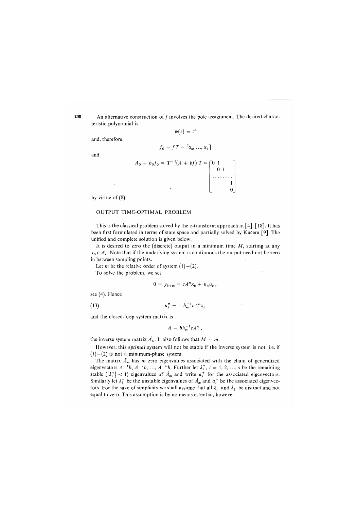238 An alternative construction of  $f$  involves the pole assignment. The desired characteristic polynomial is

 $\psi(z) = z^n$ 

and, therefore,

 $f_0 = fT = [\alpha_n, ..., \alpha_1]$ 

and

$$
A_0 + b_0 f_0 = T^{-1} (A + bf) T = \begin{bmatrix} 0 & 1 \\ 0 & 1 \\ \vdots & \vdots \\ 0 & 1 \end{bmatrix}
$$

by virtue of  $(8)$ .

#### OUTPUT TIME-OPTIMAL PROBLEM

This is the classical problem solved by the z-transform approach in  $[4]$ ,  $[18]$ . It has been first formulated in terms of state space and partially solved by Kučera [9]. The unified and complete solution is given below.

It is desired to zero the (discrete) output in a minimum time  $M$ , starting at any  $x_0 \in \mathscr{E}_n$ . Note that if the underlying system is continuous the output need not be zero in between sampling points.

Let *m* be the relative order of system  $(1)-(2)$ .

To solve the problem, we set

$$
0 = y_{k+m} = cA^m x_k + h_m u_k,
$$

see (4). Hence

(13) 
$$
u_k^* = -h_m^{-1}cA^m x_k
$$

and the closed-loop system matrix is

 $A - bh_m^{-1}cA^m$ ,

the inverse system matrix  $\hat{A}_m$ . It also follows that  $M = m$ .

However, this *optimal* system will not be stable if the inverse system is not, i.e. if  $(1) - (2)$  is not a minimum-phase system.

The matrix  $\hat{A}_m$  has *m* zero eigenvalues associated with the chain of generalized eigenvectors  $A^{-1}b$ ,  $A^{-2}b$ , ...,  $A^{-m}b$ . Further let  $\lambda_i^+$ ,  $i = 1, 2, ..., s$  be the remaining stable  $(|\lambda_i^+| < 1)$  eigenvalues of  $\hat{A}_m$  and write  $a_i^+$  for the associated eigenvectors. Similarly let  $\lambda_i^-$  be the unstable eigenvalues of  $\hat{A}_m$  and  $a_i^-$  be the associated eigenvectors. For the sake of simplicity we shall assume that all  $\lambda_i^+$  and  $\lambda_i^-$  be distinct and not equal to zero. This assumption is by no means essential, however.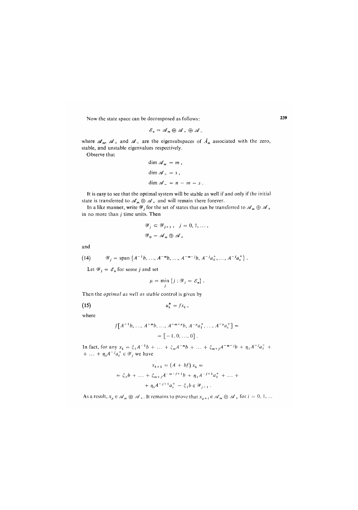Now the state space can be decomposed as follows:

$$
\mathscr{E}_n = \mathscr{A}_m \oplus \mathscr{A}_+ \oplus \mathscr{A}_-
$$

where  $\mathcal{A}_m$ ,  $\mathcal{A}_+$  and  $\mathcal{A}_-$  are the eigensubspaces of  $\hat{A}_m$  associated with the zero, stable, and unstable eigenvalues respectively.

Observe that

$$
\dim \mathscr{A}_m = m,
$$
  
\n
$$
\dim \mathscr{A}_+ = s,
$$
  
\n
$$
\dim \mathscr{A}_- = n - m - s.
$$

It is easy to see that the optimal system will be stable as well if and only if the initial state is transferred to  $\mathscr{A}_m \oplus \mathscr{A}_+$  and will remain there forever.

In a like manner, write  $\mathscr{Y}_j$  for the set of states that can be transferred to  $\mathscr{A}_m \oplus \mathscr{A}_+$ in no more than  $j$  time units. Then

$$
\mathcal{Y}_j \subset \mathcal{Y}_{j+1}, \quad j = 0, 1, \dots,
$$
  

$$
\mathcal{Y}_0 = \mathcal{A}_m \oplus \mathcal{A}_+
$$

and

(14) 
$$
\mathcal{Y}_j = \text{span}\left\{A^{-1}b, ..., A^{-m}b, ..., A^{-m-j}b, A^{-j}a_1^+, ..., A^{-j}a_s^+\right\}.
$$

Let  $\mathscr{Y}_j = \mathscr{E}_n$  for some *j* and set

$$
\mu = \min_j \{j : \mathcal{Y}_j = \mathcal{E}_n \}.
$$

Then the *optimal as well as stable* control is given by

(15)  $u_k^* = f x_k$ ,

where

$$
f[A^{-1}b, ..., A^{-m}b, ..., A^{-m-\mu}b, A^{-\mu}a_1^+, ..., A^{-\mu}a_s^+] =
$$
  
= [-1, 0, ..., 0].

In fact, for any  $x_k = \xi_1 A^{-1}b + \dots + \xi_m A^{-m}b + \dots + \xi_{m+j}A^{-m-j}b + \eta_1 A^{-j} a_1^+ + \dots$  $+ \ldots + \eta_s A^{-j} a_s^+ \in \mathcal{Y}_i$  we have

$$
x_{k+1} = (A + bf) x_k =
$$
  
=  $\xi_1 b + ... + \xi_{m+j} A^{-m-j+1} b + \eta_1 A^{-j+1} a_1^+ + ... +$   
+  $\eta_s A^{-j+1} a_s^+ - \xi_1 b \in \mathcal{Y}_{j-1}$ .

As a result,  $x_{\mu} \in \mathscr{A}_m \oplus \mathscr{A}_+$ . It remains to prove that  $x_{\mu+i} \in \mathscr{A}_m \oplus \mathscr{A}_+$  for  $i = 0, 1, ...$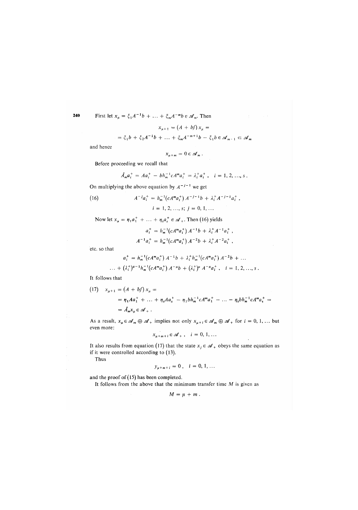240 Firs

st let 
$$
x_{\mu} = \xi_1 A^{-1} b + \dots + \xi_m A^{-m} b \in \mathcal{A}_m
$$
. Then

$$
x_{\mu+1} = (A + bf) x_{\mu} =
$$

$$
= \xi_1 b + \xi_2 A^{-1} b + \dots + \xi_m A^{-m+1} b - \xi_1 b \in \mathscr{A}_{m+1} \subset \mathscr{A}_m
$$

and hence

$$
x_{\mu+m}=0\in\mathscr{A}_m.
$$

Before proceeding we recall that

*A~<sup>l</sup>*

$$
\hat{A}_m a_i^+ = A a_i^+ - b h_m^{-1} c A^m a_i^+ = \lambda_i^+ a_i^+, \quad i = 1, 2, ..., s.
$$

On multiplying the above equation by  $A^{-j-1}$  we get

(16) 
$$
A^{-j}a_i^+ = h_m^{-1}(cA^m a_i^+) A^{-j-1}b + \lambda_i^+ A^{-j-1} a_i^+,
$$

$$
i = 1, 2, ..., s; j = 0, 1, ...
$$

Now let  $x_{\mu} = \eta_1 a_1^+ + \ldots + \eta_s a_s^+ \in \mathcal{A}_+$ . Then (16) yields

$$
a_i^+ = h_m^{-1}(cA^m a_i^+) A^{-1}b + \lambda_i^+ A^{-1} a_i^+,
$$
  

$$
[a_i^- + a_i^-] = h_m^{-1}(cA^m a_i^+) A^{-2}b + \lambda_i^+ A^{-2} a_i^+,
$$

etc. so that

$$
a_i^+ = h_m^{-1}(cA^m a_i^+) A^{-1}b + \lambda_i^+ h_m^{-1}(cA^m a_i^+) A^{-2}b + \dots
$$
  
 
$$
\dots + (\lambda_i^+)^{n-1} h_m^{-1}(cA^m a_i^+) A^{-n}b + (\lambda_i^+)^n A^{-n} a_i^+, \quad i = 1, 2, \dots, s.
$$

It follows that

(17) 
$$
x_{\mu+1} = (A + bf) x_{\mu} =
$$
  
=  $\eta_1 A a_1^+ + ... + \eta_s A a_s^+ - \eta_1 b h_m^{-1} c A^m a_1^+ - ... - \eta_s b h_m^{-1} c A^m a_s^+ =$   
=  $\hat{A}_m x_{\mu} \in \mathcal{A}_+$ .

As a result,  $x_{\mu} \in \mathscr{A}_m \oplus \mathscr{A}_+$  implies not only  $x_{\mu+i} \in \mathscr{A}_m \oplus \mathscr{A}_+$  for  $i = 0, 1, ...$  but even more:

$$
x_{\mu+m+i}\in\mathscr{A}_+\ ,\quad i=0,\,1,\,\ldots
$$

It also results from equation (17) that the state  $x_j \in \mathcal{A}_+$  obeys the same equation as if it were controlled according to *(*13).

Thus

$$
y_{\mu+m+i} = 0 \,, \quad i = 0, 1, \ldots
$$

and the proof of *(*15) has been completed.

It follows from the above that the minimum transfer time *M* is given as

$$
M=\mu+m.
$$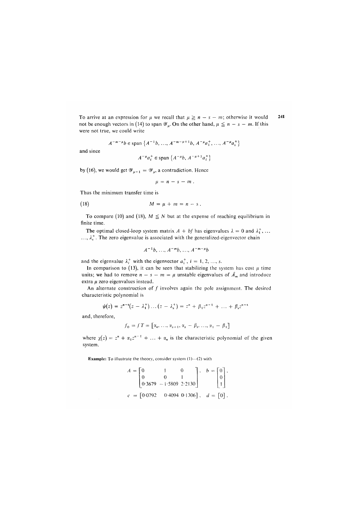To arrive at an expression for  $\mu$  we recall that  $\mu \geq n - s - m$ ; otherwise it would 241 not be enough vectors in (14) to span  $\mathscr{Y}_{\mu}$ . On the other hand,  $\mu \leq n - s - m$ . If this were not true, we could write

$$
A^{-m-\mu}b \in \text{span}\left\{A^{-1}b, \ldots, A^{-m-\mu+1}b, A^{-\mu}a_1^+, \ldots, A^{-\mu}a_s^+\right\}
$$

and since

$$
A^{-\mu}a_i^+ \in \text{span} \{A^{-\mu}b, A^{-\mu+1}a_i^+\}
$$

by (16), we would get  $\mathscr{Y}_{\mu-1} = \mathscr{Y}_{\mu}$ , a contradiction. Hence

$$
\mu = n - s - m \, .
$$

Thus the minimum transfer time is

$$
(18) \t\t\t M = \mu + m = n - s.
$$

To compare (10) and (18),  $M \leq N$  but at the expense of reaching equilibrium in finite time.

The optimal closed-loop system matrix  $A + bf$  has eigenvalues  $\lambda = 0$  and  $\lambda_1^+$ , ...  $..., \lambda_s^*$ . The zero eigenvalue is associated with the generalized-eigenvector chain

$$
A^{-1}b, \ldots, A^{-m}b, \ldots, A^{-m-\mu}b
$$

and the eigenvalue  $\lambda_i^+$  with the eigenvector  $a_i^+$ ,  $i = 1, 2, ..., s$ .

In comparison to (13), it can be seen that stabilizing the system has cost  $\mu$  time units; we had to remove  $n - s - m = \mu$  unstable eigenvalues of  $\hat{A}_m$  and introduce extra  $\mu$  zero eigenvalues instead.

An alternate construction of *j* involves again the pole assignment. The desired characteristic polynomial is

$$
\psi(z) = z^{n-s}(z - \lambda_1^+) \dots (z - \lambda_s^+) = z^n + \beta_1 z^{n-1} + \dots + \beta_s z^{n-s}
$$

and, therefore,

$$
f_0 = f T = [\alpha_n, \ldots, \alpha_{s+1}, \alpha_s - \beta_s, \ldots, \alpha_1 - \beta_1]
$$

where  $\chi(z) = z^n + \alpha_1 z^{n-1} + \ldots + \alpha_n$  is the characteristic polynomial of the given system.

**Example:** To illustrate the theory, consider system (1)—(2) with

$$
A = \begin{bmatrix} 0 & 1 & 0 \\ 0 & 0 & 1 \\ 0.3679 & -1.5809 & 2.2130 \end{bmatrix}, \quad b = \begin{bmatrix} 0 \\ 0 \\ 1 \end{bmatrix},
$$

$$
c = \begin{bmatrix} 0.0792 & 0.4094 & 0.1306 \end{bmatrix}, \quad d = \begin{bmatrix} 0 \end{bmatrix}.
$$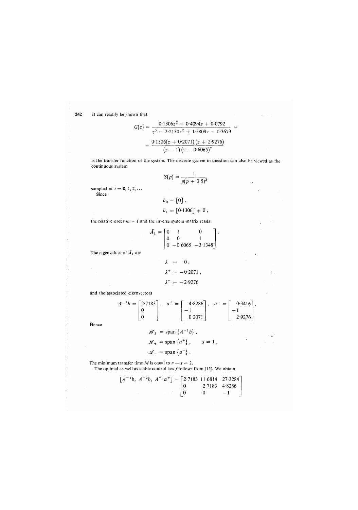242 It can readily be shown that

$$
G(z) = \frac{0.1306z^2 + 0.4094z + 0.0792}{z^3 - 2.2130z^2 + 1.5809z - 0.3679} =
$$

$$
= \frac{0.1306(z + 0.2071)(z + 2.9276)}{(z - 1)(z - 0.6065)^2}
$$

is the transfer function of the system. The discrete system in question can also be viewed as the continuous system

$$
S(p) = \frac{1}{p(p+0.5)^2}
$$

l.

 $\bar{z}$  a

sampled at  $t = 0, 1, 2, ...$ Since

$$
h_0 = [0],
$$
  

$$
h_1 = [0.1306] + 0,
$$

the relative order  $m = 1$  and the inverse system matrix reads

$$
\hat{A}_1 = \begin{bmatrix} 0 & 1 & 0 \\ 0 & 0 & 1 \\ 0 & -0.6065 & -3.1348 \end{bmatrix}
$$

The eigenvalues of  $\hat{A}_1$  are

$$
\lambda = 0,
$$
  
\n
$$
\lambda^+ = -0.2071,
$$
  
\n
$$
\lambda^- = -2.9276
$$

and the associated eigenvectors

$$
A^{-1}b = \begin{bmatrix} 2.7183 \\ 0 \\ 0 \end{bmatrix}, \quad a^{+} = \begin{bmatrix} 4.8286 \\ -1 \\ 0.2071 \end{bmatrix}, \quad a^{-} = \begin{bmatrix} 0.3416 \\ -1 \\ 2.9276 \end{bmatrix}.
$$

Hence

$$
\mathscr{A}_1 = \text{span} \{A^{-1}b\},
$$
  

$$
\mathscr{A}_+ = \text{span} \{a^+\}, \qquad s = 1,
$$
  

$$
\mathscr{A}_- = \text{span} \{a^-\}.
$$

The minimum transfer time *M* is equal to  $n - s = 2$ . The optimal as well as stable control law  $f$  follows from (15). We obtain

> $\left[A^{-1}b, A^{-2}b, A^{-1}a^{+}\right] = |2.7183 \ 11.6814 \ 27.3284$ 0 2-7183 4-8286  $0 \t 0 \t -1$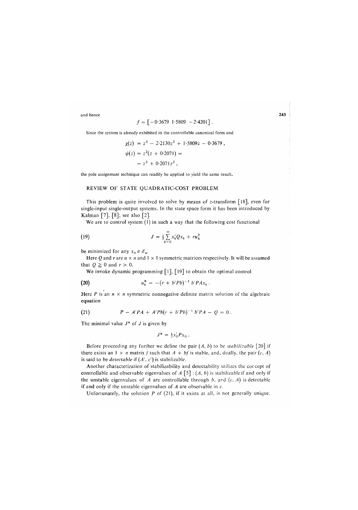and hence

$$
f = \left[ -0.3679 \, 1.5809 \, -2.4201 \right].
$$

Since the system is already exhibited in the controllable canonical form and

$$
\begin{aligned} \chi(z) &= z^3 - 2 \cdot 2130z^2 + 1 \cdot 5809z - 0 \cdot 3679 \,, \\ \psi(z) &= z^2(z + 0 \cdot 2071) = \\ &= z^3 + 0 \cdot 2071z^2 \,, \end{aligned}
$$

the pole assignment technique can readily be applied to yield the same result.

#### REVIEW OF STATE QUADRATIC-COST PROBLEM

This problem is quite involved to solve by means of z-transform [18], even for single-input single-output systems. In the state space form it has been introduced by Kalman  $[7]$ ,  $[8]$ ; see also  $[2]$ .

We are to control system (1) in such a way that the following cost functional

(19) 
$$
J = \frac{1}{2} \sum_{k=0}^{\infty} x_k' Q x_k + r u_k^2
$$

be minimized for any  $x_0 \in \mathscr{E}_n$ .

Here *Q* and *r* are  $n \times n$  and  $1 \times 1$  symmetric matrices respectively. It will be assumed that  $Q \ge 0$  and  $r > 0$ .

We invoke dynamic programming  $\lceil 1 \rceil$ ,  $\lceil 19 \rceil$  to obtain the optimal control

(20) 
$$
u_k^* = -(r + b'Pb)^{-1} b'PAx_k.
$$

Here *P* is an  $n \times n$  symmetric nonnegative definite matrix solution of the algebraic equation

(21) 
$$
P - A'PA + A'Pb(r + b'Pb)^{-1}b'PA - Q = 0.
$$

The minimal value *J\** of J is given by

$$
J^* = \frac{1}{2} x'_0 P x_0 \; .
$$

Before proceeding any further we define the pair  $(A, b)$  to be *stabilizable* [20] if there exists an  $1 \times n$  matrix f such that  $A + bf$  is stable, and, dually, the pair  $(c, A)$ is said to be *detectable if (A', c')* is stabilizable.

Another characterization of stabilizability and detectability utilizes the concept of controllable and observable eigenvalues of *A* [5] : (*A*, *b)* is stabilizable if and only if the unstable eigenvalues of *A* are controllable through *b,* ard *(c, A)* is detectable if and only if the unstable eigenvalues of *A* are observable in *c.* 

Unfortunately, the solution *P* of (21), if it exists at all, is not generally unique.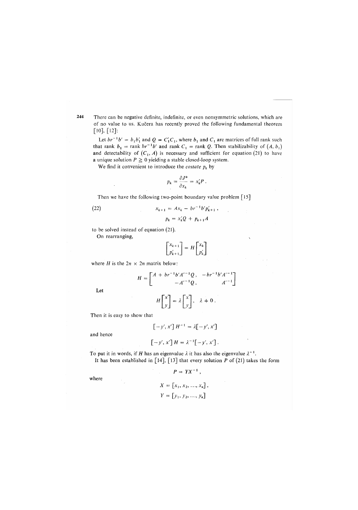There can be negative definite, indefinite, or even nonsymmetric solutions, which are of no value to us. Kucera has recently proved the following fundamental theorem [10], [12]:

Let  $br^{-1}b' = b_1b'_1$  and  $Q = C'_1C_1$ , where  $b_1$  and  $C_1$  are matrices of full rank such that rank  $b_1 = \text{rank } br^{-1}b'$  and rank  $C_1 = \text{rank } Q$ . Then stabilizability of  $(A, b_1)$ and detectability of  $(C_1, A)$  is necessary and sufficient for equation (21) to have a unique solution  $P \ge 0$  yielding a stable closed-loop system.

We find it convenient to introduce the *costate*  $p_k$  by

$$
p_k = \frac{\partial J^*}{\partial x_k} = x'_k P \; .
$$

Then we have the following two-point boundary value problem [15]

(22) 
$$
x_{k+1} = Ax_k - br^{-1}b'p'_{k+1},
$$

$$
p_k = x'_k Q + p_{k+1} A
$$

to be solved instead of equation *(*21).

On rearranging,

$$
\begin{bmatrix} x_{k+1} \\ p'_{k+1} \end{bmatrix} = H \begin{bmatrix} x_k \\ p'_k \end{bmatrix}
$$

where 
$$
H
$$
 is the  $2n \times 2n$  matrix below:

$$
H = \begin{bmatrix} A + br^{-1}b'A'^{-1}Q, & -br^{-1}b'A'^{-1} \\ -A'^{-1}Q, & A'^{-1} \end{bmatrix}
$$

$$
H \begin{bmatrix} x \\ y \end{bmatrix} = \lambda \begin{bmatrix} x \\ y \end{bmatrix}, \lambda \neq 0.
$$

Then it is easy to show that

$$
\left[-y', x'\right]H^{-1} = \lambda \left[-y', x'\right]
$$

and hence

Let

$$
\left[-y', x'\right]H = \lambda^{-1}\left[-y', x'\right].
$$

To put it in words, if *H* has an eigenvalue  $\lambda$  it has also the eigenvalue  $\lambda^{-1}$ . It has been established in [14], [13] that every solution *P* of *(*21) takes the form

$$
P = YX^{-1},
$$

where

$$
X = [x_1, x_2, ..., x_n],
$$
  

$$
Y = [y_1, y_2, ..., y_n]
$$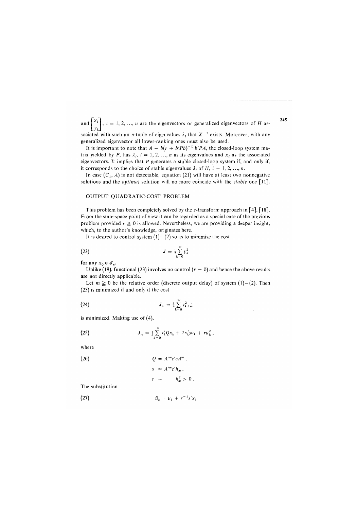and  $\begin{bmatrix} \cdot \\ \cdot \\ \cdot \end{bmatrix}$ ,  $i = 1, 2, ..., n$  are the eigenvectors or generalized eigenvectors of *H* as-

sociated with such an *n*-tuple of eigenvalues  $\lambda_i$  that  $X^{-1}$  exists. Moreover, with any generalized eigenvector all lower-ranking ones must also be used.

It is important to note that  $A - b(r + b'Pb)^{-1} b'PA$ , the closed-loop system matrix yielded by P, has  $\lambda_i$ ,  $i = 1, 2, ..., n$  as its eigenvalues and  $x_i$  as the associated eigenvectors. It implies that *P* generates a stable closed-loop system if, and only if, it corresponds to the choice of stable eigenvalues  $\lambda_i$  of *H*,  $i = 1, 2, ..., n$ .

In case  $(C_1, A)$  is not detectable, equation (21) will have at least two nonnegative solutions and the *optimal* solution will no more coincide with the *stable* one [11].

#### OUTPUT QUADRATIC-COST PROBLEM

This problem has been completely solved by the z-transform approach in [4], [18]. From the state-space point of view it can be regarded as a special case of the previous problem provided  $r \ge 0$  is allowed. Nevertheless, we are providing a deeper insight, which, to the author's knowledge, originates here.

It is desired to control system  $(1) - (2)$  so as to minimize the cost

(23) 
$$
J = \frac{1}{2} \sum_{k=0}^{\infty} y_k^2
$$

for any  $x_0 \in \mathscr{E}_n$ .

Unlike (19), functional (23) involves no control  $(r = 0)$  and hence the above results are not directly applicable.

Let  $m \ge 0$  be the relative order (discrete output delay) of system  $(1) - (2)$ . Then *(*23) is minimized if and only if the cost

(24) 
$$
J_m = \frac{1}{2} \sum_{k=0}^{\infty} y_{k+m}^2
$$

is minimized. Making use of *(*4),

(25) 
$$
J_m = \frac{1}{2} \sum_{k=0}^{\infty} x'_k Q x_k + 2x'_k s u_k + r u_k^2,
$$

where

(26) 
$$
Q = A^m c^r c A^m,
$$

$$
s = A^m c^r h_m,
$$

$$
r = h_m^2 > 0.
$$

The substitution

(27)  $\tilde{u}_k = u_k + r^{-1} s' x_k$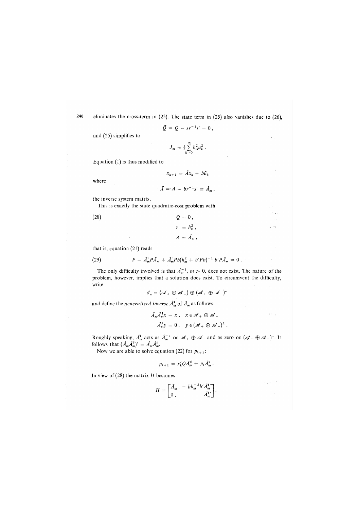246 eliminates the cross-term in (25). The state term in (25) also vanishes due to (26),

$$
\widetilde{Q} = Q - sr^{-1}s' = 0,
$$

and (25) simplifies to

$$
J_m = \frac{1}{2}\sum_{k=0}^\infty h_m^2 u_k^2.
$$

Equation  $(1)$  is thus modified to

$$
x_{k+1} = \tilde{A}x_k + b\tilde{u}_k
$$

where

$$
\widetilde{A} = A - br^{-1} s' \equiv \widehat{A}_m,
$$

 $\pm$   $\pm$ 

÷. a se

 $\bar{\tau}^{(1)}$  14

 $\overline{1}$ 

 $\bar{\rho} \bar{\rho} = \rho^0$ 

the inverse system matrix.

This is exactly the state quadratic-cost problem with

(28)  $Q = 0$ ,

$$
r = h_m^2,
$$
  

$$
A = \hat{A}_m,
$$

that is, equation (21) reads

(29) 
$$
P - \hat{A}'_m P \hat{A}_m + \hat{A}'_m P b (h_m^2 + b' P b)^{-1} b' P \hat{A}_m = 0.
$$

The only difficulty involved is that  $\hat{A}_m^{-1}$ ,  $m > 0$ , does not exist. The nature of the problem, however, implies that a solution does exist. To circumvent the difficulty, write

$$
\mathscr{E}_n = (\mathscr{A}_+ \oplus \mathscr{A}_-) \oplus (\mathscr{A}_+ \oplus \mathscr{A}_-)^{\perp}
$$

and define the *generalized inverse*  $\hat{A}_m^*$  of  $\hat{A}_m$  as follows:

$$
\hat{A}_m \hat{A}_m^* x = x, \quad x \in \mathcal{A}_+ \oplus \mathcal{A}_-
$$
  

$$
\hat{A}_m^* y = 0, \quad y \in (\mathcal{A}_+ \oplus \mathcal{A}_-)^{\perp}.
$$

Roughly speaking,  $\hat{A}_m^*$  acts as  $\hat{A}_m^{-1}$  on  $\mathscr{A}_+ \oplus \mathscr{A}_-$  and as zero on  $(\mathscr{A}_+ \oplus \mathscr{A}_-)^\perp$ . It follows that  $(\tilde{A}_m \tilde{A}_m^*)' = \tilde{A}_m \tilde{A}_m^*$ .

Now we are able to solve equation (22) for  $p_{k+1}$ :

$$
p_{k+1} = x'_k Q \hat{A}_m^* + p_k \hat{A}_m^*.
$$

In view of (28) the matrix *H* becomes

$$
H = \begin{bmatrix} \hat{A}_m, & -b h_m^{-2} b' \hat{A}_m^{*} \\ 0, & \hat{A}_m^{*} \end{bmatrix}.
$$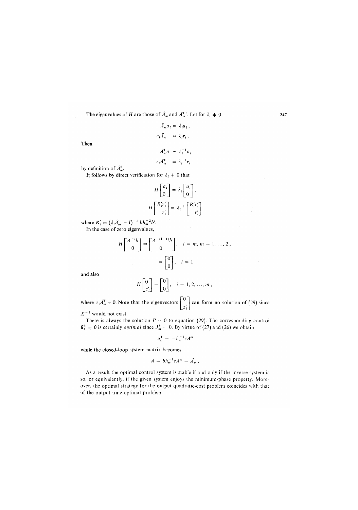The eigenvalues of *H* are those of  $A_m$  and  $A_m^*$ . Let for  $\lambda_i \neq 0$ 

$$
\hat{A}_{m}a_{i} = \lambda_{i}a_{i},
$$
  
\n
$$
r_{i}\hat{A}_{m} = \lambda_{i}r_{i}.
$$
  
\n
$$
\hat{A}_{m}^{\dagger}a_{i} = \lambda_{i}^{-1}a_{i}
$$

Then

$$
A_m a_i = \lambda_i a_i
$$

$$
r_i \hat{A}_m^* = \lambda_i^{-1} r_i
$$

by definition of *A*\*.

It follows by direct verification for  $\lambda_i + 0$  that

$$
H\begin{bmatrix} a_i \\ 0 \end{bmatrix} = \lambda_i \begin{bmatrix} a_i \\ 0 \end{bmatrix},
$$

$$
H\begin{bmatrix} R'_i r'_i \\ r'_i \end{bmatrix} = \lambda_i^{-1} \begin{bmatrix} R'_i r'_i \\ r'_i \end{bmatrix}
$$

where  $R'_i = (\lambda_i \hat{A}_m - I)^{-1} bh_m^{-2} b'.$ In the case of zero eigenvalues,

$$
H\begin{bmatrix} A^{-i}b \\ 0 \end{bmatrix} = \begin{bmatrix} A^{-(i-1)}b \\ 0 \end{bmatrix}, \quad i = m, m - 1, ..., 2,
$$

$$
= \begin{bmatrix} 0 \\ 0 \end{bmatrix}, \quad i = 1
$$

and also

$$
H\begin{bmatrix}0\\z_i'\end{bmatrix}=\begin{bmatrix}0\\0\end{bmatrix}, i=1,2,...,m,
$$

where  $z_iA_m^* = 0$ . Note that the eigenvectors  $\begin{bmatrix} 1 \end{bmatrix}$  can form no solution of (29) since

*X~<sup>l</sup>* would not exist.

There is always the solution  $P = 0$  to equation (29). The corresponding control  $\tilde{u}_k^* = 0$  is certainly *optimal* since  $J_m^* = 0$ . By virtue of (27) and (26) we obtain

$$
u_k^* = -h_m^{-1}cA^m
$$

while the closed-loop system matrix becomes

$$
A-bh_m^{-1}cA^m=\hat{A}_m.
$$

As a result the optimal control system is stable if and only if the inverse system is so, or equivalently, if the given system enjoys the minimum-phase property. Moreover, the optimal strategy for the output quadratic-cost problem coincides with that of the output time-optimal problem.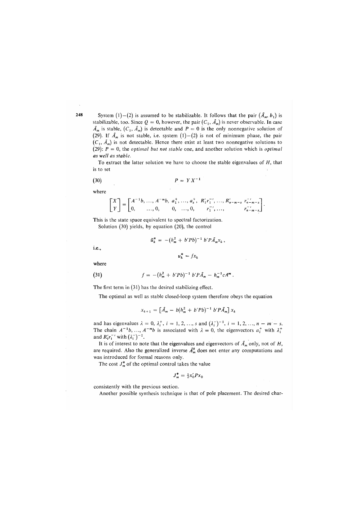System (1)-(2) is assumed to be stabilizable. It follows that the pair  $(\hat{A}_m, b_1)$  is stabilizable, too. Since  $Q = 0$ , however, the pair  $(C_1, \hat{A}_m)$  is never observable. In case  $\hat{A}_m$  is stable,  $(C_1, \hat{A}_m)$  is detectable and  $P = 0$  is the only nonnegative solution of (29). If  $\hat{A}_m$  is not stable, i.e. system  $(1) - (2)$  is not of minimum phase, the pair  $(C_1, \hat{A}_m)$  is not detectable. Hence there exist at least two nonnegative solutions to (29): *P =* 0, the *optimal but not stable* one, and another solution which is *optimal as well as stable.* 

To extract the latter solution we have to choose the stable eigenvalues of *H,* that is to set

$$
(30) \t\t\t P = Y X^{-1}
$$

where

$$
\begin{bmatrix} X \\ Y \end{bmatrix} = \begin{bmatrix} A^{-1}b, \dots, A^{-m}b, a_1^+, \dots, a_s^+, R'_1r_1^{-}, \dots, R'_{n-m-s} r_{n-m-s}^{-1} \\ 0, \dots, 0, 0, \dots, 0, r_1^{-}, \dots, r_{n-m-s}^{-1} \end{bmatrix}
$$

This is the state space equivalent to spectral factorization. Solution (30) yields, by equation (20), the control

$$
\tilde{u}_k^* = -(h_m^2 + b'Pb)^{-1} b' P \hat{A}_m x_k,
$$

i.e.,

$$
u_k^* = f x_k
$$

where

(31) 
$$
f = -(h_m^2 + b'Pb)^{-1} b'P\hat{A}_m - h_m^{-1}cA^m.
$$

The first term in (31) has the desired stabilizing effect.

The optimal as well as stable closed-loop system therefore obeys the equation

$$
x_{k+1} = \left[\hat{A}_m - b(h_m^2 + b'Pb)^{-1} b'P\hat{A}_m\right]x_k
$$

and has eigenvalues  $\lambda = 0, \lambda_i^+, i = 1, 2, ..., s$  and  $(\lambda_i^-)^{-1}, i = 1, 2, ..., n - m - s$ . The chain  $A^{-1}b, ..., A^{-m}b$  is associated with  $\lambda = 0$ , the eigenvectors  $a_i^+$  with  $\lambda_i^+$ and  $R'_i r_i^{-1}$  with  $(\lambda_i^-)^{-1}$ .

It is of interest to note that the eigenvalues and eigenvectors of  $\hat{A}_m$  only, not of *H*, are required. Also the generalized inverse  $\hat{A}_m^*$  does not enter any computations and was introduced for formal reasons only.

The cost  $J_m^*$  of the optimal control takes the value

$$
J_m^* = \frac{1}{2}x_0'Px_0
$$

consistently with the previous section.

Another possible synthesis technique is that of pole placement. The desired char-

2.48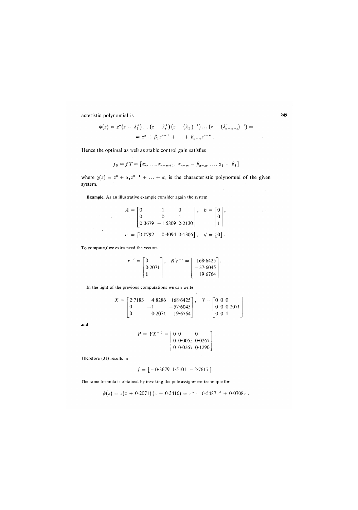acteristic polynomial is

$$
\psi(z) = z^{m}(z - \lambda_{1}^{+}) \dots (z - \lambda_{s}^{+}) (z - (\lambda_{1}^{-})^{-1}) \dots (z - (\lambda_{n-m-s}^{-})^{-1}) =
$$
  
=  $z^{n} + \beta_{1} z^{n-1} + \dots + \beta_{n-m} z^{n-m}$ .

Hence the optimal as well as stable control gain satisfies

$$
f_0 = fT = [\alpha_n, \ldots, \alpha_{n-m+1}, \alpha_{n-m} - \beta_{n-m}, \ldots, \alpha_1 - \beta_1]
$$

where  $\chi(z) = z^n + \alpha_1 z^{n-1} + \ldots + \alpha_n$  is the characteristic polynomial of the given system.

**Example**. As an illustrative example consider again the system

$$
A = \begin{bmatrix} 0 & 1 & 0 \\ 0 & 0 & 1 \\ 0.3679 & -1.5809 & 2.2130 \end{bmatrix}, \quad b = \begin{bmatrix} 0 \\ 0 \\ 1 \end{bmatrix},
$$

$$
c = \begin{bmatrix} 0.0792 & 0.4094 & 0.1306 \end{bmatrix}, \quad d = \begin{bmatrix} 0 \end{bmatrix}.
$$

To compute  $f$  we extra need the vectors

 $\sim 10$ 

$$
r^{-1} = \begin{bmatrix} 0 \\ 0.2071 \\ 1 \end{bmatrix}, \quad R'r^{-1} = \begin{bmatrix} 168.6425 \\ -57.6045 \\ 19.6764 \end{bmatrix}.
$$

In the light of the previous computations we can write

$$
X = \begin{bmatrix} 2.7183 & 4.8286 & 168.6425 \\ 0 & -1 & -57.6045 \\ 0 & 0.2071 & 19.6764 \end{bmatrix}, \quad Y = \begin{bmatrix} 0 & 0 & 0 \\ 0 & 0 & 0.2071 \\ 0 & 0 & 1 \end{bmatrix}
$$

and

$$
P = YX^{-1} = \begin{bmatrix} 0 & 0 & 0 \\ 0 & 0.0055 & 0.0267 \\ 0 & 0.0267 & 0.1290 \end{bmatrix}
$$

Therefore (31) results in

$$
f = \begin{bmatrix} -0.3679 & 1.5101 & -2.7617 \end{bmatrix}.
$$

The same formula is obtained by invoking the pole assignment technique for

$$
\psi(z) = z(z + 0.2071)(z + 0.3416) = z^3 + 0.5487z^2 + 0.0708z.
$$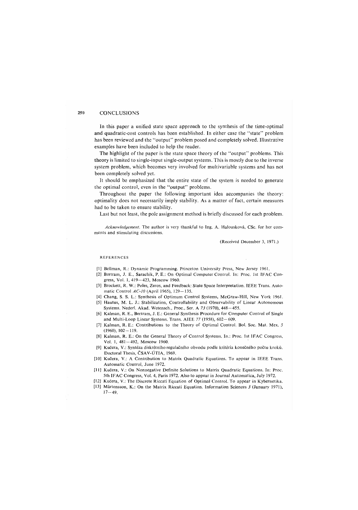#### 250 **CONCLUSIONS**

In this paper a unified state space approach to the synthesis of the time-optimal and quadratic-cost controls has been established. In either case the "state" problem has been reviewed and the "output" problem posed and completely solved. Illustrative examples have been included to help the reader.

The highlight of the paper is the state space theory of the "output" problems. This theory is limited to single-input single-output systems. This is mostly due to the inverse system problem, which becomes very involved for multivariable systems and has not been completely solved yet.

It should be emphasized that the entire state of the system is needed to generate the optimal control, even in the "output" problems.

Throughout the paper the following important idea accompanies the theory, optimality does not necessarily imply stability. As a matter of fact, certain measures had to be taken to ensure stability.

Last but not least, the pole assignment method is briefly discussed for each problem.

*Acknowledgement.* The author is very thankful to Ing. A. Halouskova, CSc. for her comments and stimulating discussions.

(Received December 3, 1971.)

#### REFERENCES

- [1] Bellman, R.: Dynamic Programming. Princeton University Press, New Jersey 1961.
- [2] Bгrtram, J. E., Sarachik, P. E.: On Optimal Computer Control. In: Proc. lst IFAC Congress, Vol. 1, 419 — 423, Moscow 1960.
- [3] Brockett, R. W.: Poles, Zeros, and Feedback: State Space Interpretation. IEEE Trans. Automatic Control *AC-10* (April 1965), 129—135.
- [4] Chang, S. S. L.: Synthesis of Optimum Control Systems. McGraw-Hill, New York 1961. [5] Hautus, M. L. J.: Stabilization, Controllability and Observability of Linear Autonomous
- Systems. Nederl. Akad. Wetensch., Proc, Ser. A *73* (1970), 448-455. [6] Kalman, R. E., Bertram, J. E.: General Synthesis Procedure for Computer Control of Single
- and Multi-Loop Linear Systems. Trans. AIEE *77* (1958), 602—609.
- [7] Kalman, R. E.: Contributions to the Theory of Optimal Control. Bol. Soc. Mat. Mex. *5*   $(1960)$ ,  $102 - 119$ .
- [8] Kalman, R. E.: On the General Theory of Control Systems. In.: Proc. lst IFAC Congress, Vol. 1, 481-492, Moscow 1960.
- [9] Kučera, V.: Syntéza diskrétního regulačního obvodu podle kritéria konečného počtu kroků. Doctoral Thesis, ČSAV-ÜTIA, 1969.
- [10] Kučera, V.: A Contribution to Matrix Quadratic Equations. To appear in IEEE Trans. Automatic Control, June 1972.
- [11] Kučera, V.: On Nonnegative Definite Solutions to Matrix Quadratic Equations. In: Proc. 5th IFAC Congress, Vol. 4, Paris 1972. Also to appear in Journal Automatica, July 1972.
- [12] Kučera, V.: The Discrete Riccati Equation of Optimal Control. To appear in Kybernetika.
- [13] Mårtensson, K.: On the Matrix Riccati Equation. Information Sciences *3* (Januarv 1971),  $17 - 49$ .